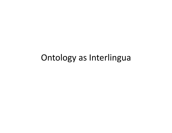#### Ontology as Interlingua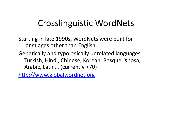# Crosslinguistic WordNets

Starting in late 1990s, WordNets were built for languages other than English

Genetically and typologically unrelated languages: Turkish, Hindi, Chinese, Korean, Basque, Xhosa, Arabic, Latin... (currently >70)

http://www.globalwordnet.org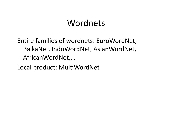## Wordnets

Entire families of wordnets: EuroWordNet, BalkaNet, IndoWordNet, AsianWordNet, AfricanWordNet,…(

Local product: MultiWordNet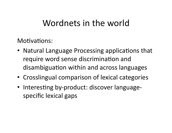# Wordnets in the world

Motivations:

- Natural Language Processing applications that require word sense discrimination and disambiguation within and across languages
- Crosslingual comparison of lexical categories
- Interesting by-product: discover languagespecific lexical gaps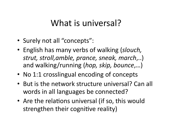# What is universal?

- Surely not all "concepts":
- English has many verbs of walking (*slouch*, strut, stroll,amble, prance, sneak, march,..) and walking/running (*hop, skip, bounce*,...)
- No 1:1 crosslingual encoding of concepts
- But is the network structure universal? Can all words in all languages be connected?
- Are the relations universal (if so, this would strengthen their cognitive reality)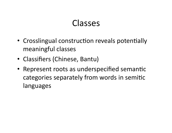### Classes

- Crosslingual construction reveals potentially meaningful classes
- Classifiers (Chinese, Bantu)
- Represent roots as underspecified semantic categories separately from words in semitic languages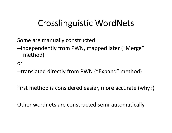# Crosslinguistic WordNets

Some are manually constructed

--independently from PWN, mapped later ("Merge" method)

**or** 

--translated directly from PWN ("Expand" method)

First method is considered easier, more accurate (why?)

Other wordnets are constructed semi-automatically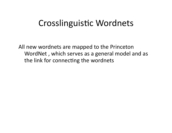#### Crosslinguistic Wordnets

All new wordnets are mapped to the Princeton WordNet, which serves as a general model and as the link for connecting the wordnets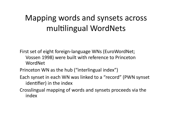# Mapping words and synsets across multilingual WordNets

First set of eight foreign-language WNs (EuroWordNet; Vossen (1998) were built with reference to Princeton WordNet

Princeton WN as the hub ("interlingual index")

- Each synset in each WN was linked to a "record" (PWN synset identifier) in the index
- Crosslingual mapping of words and synsets proceeds via the index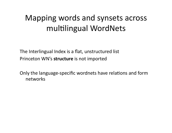# Mapping words and synsets across multilingual WordNets

The Interlingual Index is a flat, unstructured list Princeton WN's **structure** is not imported

Only the language-specific wordnets have relations and form networks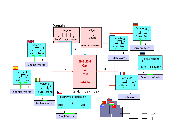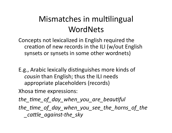# Mismatches in multilingual WordNets

Concepts not lexicalized in English required the creation of new records in the ILI (w/out English synsets or synsets in some other wordnets)

E.g., Arabic lexically distinguishes more kinds of *cousin* than English; thus the ILI needs appropriate placeholders (records)

Xhosa time expressions:

*the\_4me\_of\_day\_when\_you\_are\_beau4ful*

*the\_4me\_of\_day\_when\_you\_see\_the\_horns\_of\_the cattle\_against-the\_sky*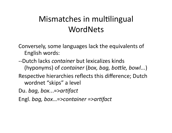# Mismatches in multilingual WordNets

Conversely, some languages lack the equivalents of English words:

--Dutch lacks *container* but lexicalizes kinds (hyponyms) of *container (box, bag, bottle, bowl...*) Respective hierarchies reflects this difference; Dutch wordnet "skips" a level

Du.*bag,box...=>artifact* 

Engl. *bag, box...*=>container =>artifact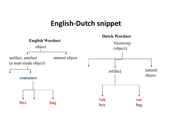#### **English-Dutch snippet**

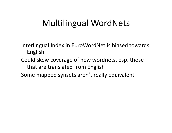# Multilingual WordNets

Interlingual Index in EuroWordNet is biased towards **English** 

- Could skew coverage of new wordnets, esp. those that are translated from English
- Some mapped synsets aren't really equivalent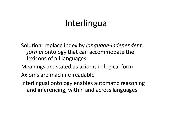# **Interlingua**

Solution: replace index by *language-independent*, *formal* ontology that can accommodate the lexicons of all languages

Meanings are stated as axioms in logical form

Axioms are machine-readable

Interlingual ontology enables automatic reasoning and inferencing, within and across languages